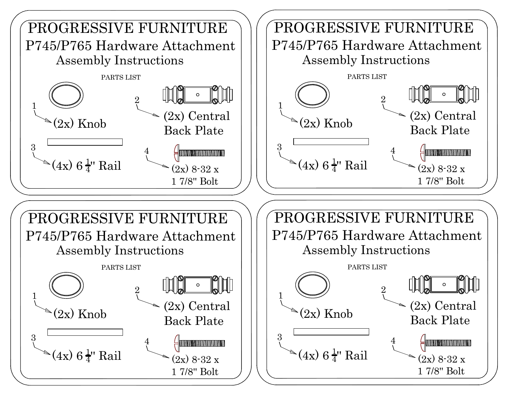